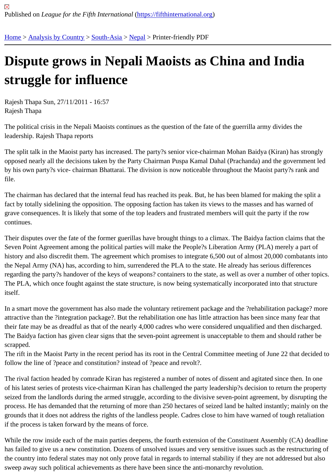## [Dis](https://fifthinternational.org/)[pute grows](https://fifthinternational.org/category/1) [in Ne](https://fifthinternational.org/category/1/200)[pali](https://fifthinternational.org/category/1/200/206) Maoists as China and India struggle for influence

Rajesh Thapa Sun, 27/11/2011 - 16:57 Rajesh Thapa

The political crisis in the Nepali Maoists continues as the question of the fate of the guerrilla army divides the leadership. Rajesh Thapa reports

The split talk in the Maoist party has increased. The party?s senior vice-chairman Mohan Baidya (Kiran) has strongly opposed nearly all the decisions taken by the Party Chairman Puspa Kamal Dahal (Prachanda) and the governme by his own party?s vice- chairman Bhattarai. The division is now noticeable throughout the Maoist party?s rank an file.

The chairman has declared that the internal feud has reached its peak. But, he has been blamed for making the sp fact by totally sidelining the opposition. The opposing faction has taken its views to the masses and has warned of grave consequences. It is likely that some of the top leaders and frustrated members will quit the party if the row continues.

Their disputes over the fate of the former guerillas have brought things to a climax. The Baidya faction claims that Seven Point Agreement among the political parties will make the People?s Liberation Army (PLA) merely a part of history and also discredit them. The agreement which promises to integrate 6,500 out of almost 20,000 combatant the Nepal Army (NA) has, according to him, surrendered the PLA to the state. He already has serious differences regarding the party?s handover of the keys of weapons? containers to the state, as well as over a number of other The PLA, which once fought against the state structure, is now being systematically incorporated into that structure itself.

In a smart move the government has also made the voluntary retirement package and the ?rehabilitation package attractive than the ?integration package?. But the rehabilitation one has little attraction has been since many fear t their fate may be as dreadful as that of the nearly 4,000 cadres who were considered unqualified and then dischar The Baidya faction has given clear signs that the seven-point agreement is unacceptable to them and should rathe scrapped.

The rift in the Maoist Party in the recent period has its root in the Central Committee meeting of June 22 that decid follow the line of ?peace and constitution? instead of ?peace and revolt?.

The rival faction headed by comrade Kiran has registered a number of notes of dissent and agitated since then. In of his latest series of protests vice-chairman Kiran has challenged the party leadership?s decision to return the pro seized from the landlords during the armed struggle, according to the divisive seven-point agreement, by disruptin process. He has demanded that the returning of more than 250 hectares of seized land be halted instantly; mainly grounds that it does not address the rights of the landless people. Cadres close to him have warned of tough retali if the process is taken forward by the means of force.

While the row inside each of the main parties deepens, the fourth extension of the Constituent Assembly (CA) dea has failed to give us a new constitution. Dozens of unsolved issues and very sensitive issues such as the restructu the country into federal states may not only prove fatal in regards to internal stability if they are not addressed but sweep away such political achievements as there have been since the anti-monarchy revolution.